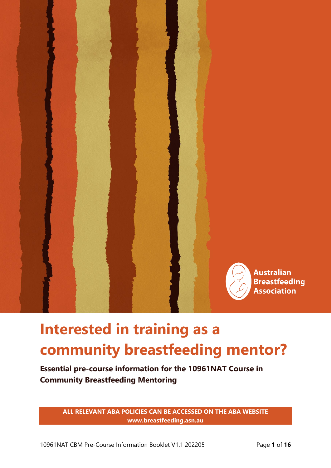

# **Interested in training as a community breastfeeding mentor?**

**Essential pre-course information for the 10961NAT Course in Community Breastfeeding Mentoring**

> **ALL RELEVANT ABA POLICIES CAN BE ACCESSED ON THE ABA WEBSITE www.breastfeeding.asn.au**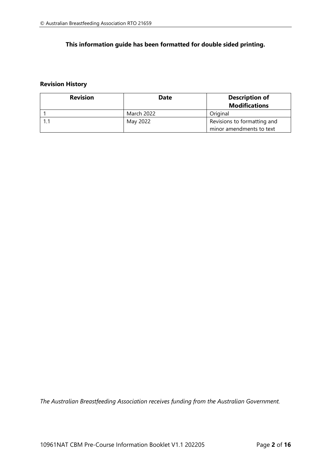## **This information guide has been formatted for double sided printing.**

## **Revision History**

| <b>Revision</b> | <b>Date</b>       | <b>Description of</b><br><b>Modifications</b> |
|-----------------|-------------------|-----------------------------------------------|
|                 | <b>March 2022</b> | Original                                      |
|                 | May 2022          | Revisions to formatting and                   |
|                 |                   | minor amendments to text                      |

*The Australian Breastfeeding Association receives funding from the Australian Government.*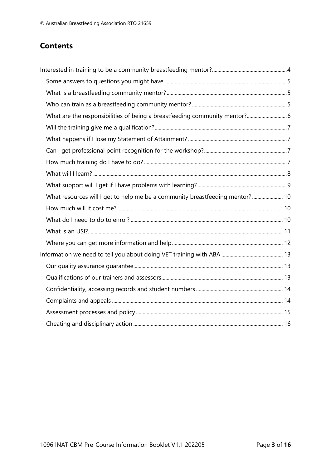## **Contents**

| What are the responsibilities of being a breastfeeding community mentor? 6   |  |
|------------------------------------------------------------------------------|--|
|                                                                              |  |
|                                                                              |  |
|                                                                              |  |
|                                                                              |  |
|                                                                              |  |
|                                                                              |  |
| What resources will I get to help me be a community breastfeeding mentor? 10 |  |
|                                                                              |  |
|                                                                              |  |
|                                                                              |  |
|                                                                              |  |
|                                                                              |  |
|                                                                              |  |
|                                                                              |  |
|                                                                              |  |
|                                                                              |  |
|                                                                              |  |
|                                                                              |  |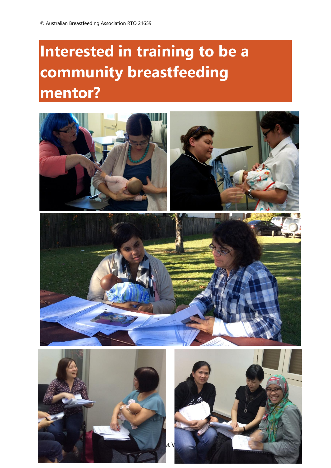# <span id="page-3-0"></span>**Interested in training to be a community breastfeeding mentor?**





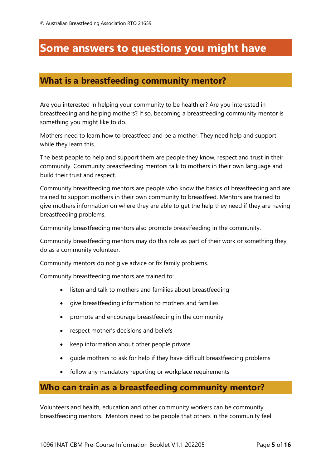# <span id="page-4-0"></span>**Some answers to questions you might have**

# <span id="page-4-1"></span>**What is a breastfeeding community mentor?**

Are you interested in helping your community to be healthier? Are you interested in breastfeeding and helping mothers? If so, becoming a breastfeeding community mentor is something you might like to do.

Mothers need to learn how to breastfeed and be a mother. They need help and support while they learn this.

The best people to help and support them are people they know, respect and trust in their community. Community breastfeeding mentors talk to mothers in their own language and build their trust and respect.

Community breastfeeding mentors are people who know the basics of breastfeeding and are trained to support mothers in their own community to breastfeed. Mentors are trained to give mothers information on where they are able to get the help they need if they are having breastfeeding problems.

Community breastfeeding mentors also promote breastfeeding in the community.

Community breastfeeding mentors may do this role as part of their work or something they do as a community volunteer.

Community mentors do not give advice or fix family problems.

Community breastfeeding mentors are trained to:

- listen and talk to mothers and families about breastfeeding
- give breastfeeding information to mothers and families
- promote and encourage breastfeeding in the community
- respect mother's decisions and beliefs
- keep information about other people private
- guide mothers to ask for help if they have difficult breastfeeding problems
- follow any mandatory reporting or workplace requirements

## <span id="page-4-2"></span>**Who can train as a breastfeeding community mentor?**

Volunteers and health, education and other community workers can be community breastfeeding mentors. Mentors need to be people that others in the community feel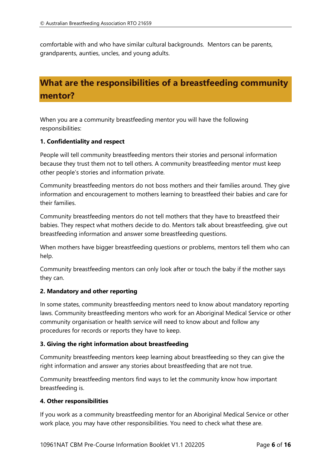comfortable with and who have similar cultural backgrounds. Mentors can be parents, grandparents, aunties, uncles, and young adults.

# <span id="page-5-0"></span>**What are the responsibilities of a breastfeeding community mentor?**

When you are a community breastfeeding mentor you will have the following responsibilities:

## **1. Confidentiality and respect**

People will tell community breastfeeding mentors their stories and personal information because they trust them not to tell others. A community breastfeeding mentor must keep other people's stories and information private.

Community breastfeeding mentors do not boss mothers and their families around. They give information and encouragement to mothers learning to breastfeed their babies and care for their families.

Community breastfeeding mentors do not tell mothers that they have to breastfeed their babies. They respect what mothers decide to do. Mentors talk about breastfeeding, give out breastfeeding information and answer some breastfeeding questions.

When mothers have bigger breastfeeding questions or problems, mentors tell them who can help.

Community breastfeeding mentors can only look after or touch the baby if the mother says they can.

## **2. Mandatory and other reporting**

In some states, community breastfeeding mentors need to know about mandatory reporting laws. Community breastfeeding mentors who work for an Aboriginal Medical Service or other community organisation or health service will need to know about and follow any procedures for records or reports they have to keep.

#### **3. Giving the right information about breastfeeding**

Community breastfeeding mentors keep learning about breastfeeding so they can give the right information and answer any stories about breastfeeding that are not true.

Community breastfeeding mentors find ways to let the community know how important breastfeeding is.

#### **4. Other responsibilities**

If you work as a community breastfeeding mentor for an Aboriginal Medical Service or other work place, you may have other responsibilities. You need to check what these are.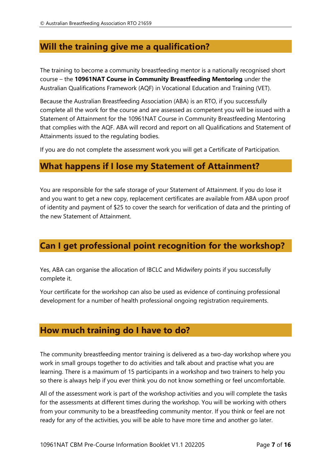# <span id="page-6-0"></span>**Will the training give me a qualification?**

The training to become a community breastfeeding mentor is a nationally recognised short course – the **10961NAT Course in Community Breastfeeding Mentoring** under the Australian Qualifications Framework (AQF) in Vocational Education and Training (VET).

Because the Australian Breastfeeding Association (ABA) is an RTO, if you successfully complete all the work for the course and are assessed as competent you will be issued with a Statement of Attainment for the 10961NAT Course in Community Breastfeeding Mentoring that complies with the AQF. ABA will record and report on all Qualifications and Statement of Attainments issued to the regulating bodies.

If you are do not complete the assessment work you will get a Certificate of Participation.

## <span id="page-6-1"></span>**What happens if I lose my Statement of Attainment?**

You are responsible for the safe storage of your Statement of Attainment. If you do lose it and you want to get a new copy, replacement certificates are available from ABA upon proof of identity and payment of \$25 to cover the search for verification of data and the printing of the new Statement of Attainment.

# <span id="page-6-2"></span>**Can I get professional point recognition for the workshop?**

Yes, ABA can organise the allocation of IBCLC and Midwifery points if you successfully complete it.

Your certificate for the workshop can also be used as evidence of continuing professional development for a number of health professional ongoing registration requirements.

## <span id="page-6-3"></span>**How much training do I have to do?**

The community breastfeeding mentor training is delivered as a two-day workshop where you work in small groups together to do activities and talk about and practise what you are learning. There is a maximum of 15 participants in a workshop and two trainers to help you so there is always help if you ever think you do not know something or feel uncomfortable.

All of the assessment work is part of the workshop activities and you will complete the tasks for the assessments at different times during the workshop. You will be working with others from your community to be a breastfeeding community mentor. If you think or feel are not ready for any of the activities, you will be able to have more time and another go later.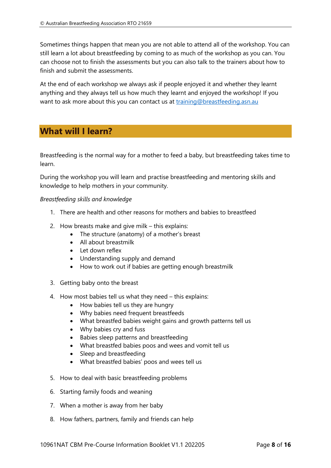Sometimes things happen that mean you are not able to attend all of the workshop. You can still learn a lot about breastfeeding by coming to as much of the workshop as you can. You can choose not to finish the assessments but you can also talk to the trainers about how to finish and submit the assessments.

At the end of each workshop we always ask if people enjoyed it and whether they learnt anything and they always tell us how much they learnt and enjoyed the workshop! If you want to ask more about this you can contact us at [training@breastfeeding.asn.au](mailto:training@breastfeeding.asn.au)

## <span id="page-7-0"></span>**What will I learn?**

Breastfeeding is the normal way for a mother to feed a baby, but breastfeeding takes time to learn.

During the workshop you will learn and practise breastfeeding and mentoring skills and knowledge to help mothers in your community.

*Breastfeeding skills and knowledge*

- 1. There are health and other reasons for mothers and babies to breastfeed
- 2. How breasts make and give milk this explains:
	- The structure (anatomy) of a mother's breast
	- All about breastmilk
	- Let down reflex
	- Understanding supply and demand
	- How to work out if babies are getting enough breastmilk
- 3. Getting baby onto the breast
- 4. How most babies tell us what they need this explains:
	- How babies tell us they are hungry
	- Why babies need frequent breastfeeds
	- What breastfed babies weight gains and growth patterns tell us
	- Why babies cry and fuss
	- Babies sleep patterns and breastfeeding
	- What breastfed babies poos and wees and vomit tell us
	- Sleep and breastfeeding
	- What breastfed babies' poos and wees tell us
- 5. How to deal with basic breastfeeding problems
- 6. Starting family foods and weaning
- 7. When a mother is away from her baby
- 8. How fathers, partners, family and friends can help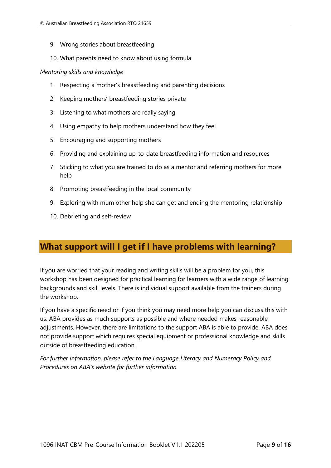- 9. Wrong stories about breastfeeding
- 10. What parents need to know about using formula

#### *Mentoring skills and knowledge*

- 1. Respecting a mother's breastfeeding and parenting decisions
- 2. Keeping mothers' breastfeeding stories private
- 3. Listening to what mothers are really saying
- 4. Using empathy to help mothers understand how they feel
- 5. Encouraging and supporting mothers
- 6. Providing and explaining up-to-date breastfeeding information and resources
- 7. Sticking to what you are trained to do as a mentor and referring mothers for more help
- 8. Promoting breastfeeding in the local community
- 9. Exploring with mum other help she can get and ending the mentoring relationship
- 10. Debriefing and self-review

# <span id="page-8-0"></span>**What support will I get if I have problems with learning?**

If you are worried that your reading and writing skills will be a problem for you, this workshop has been designed for practical learning for learners with a wide range of learning backgrounds and skill levels. There is individual support available from the trainers during the workshop.

If you have a specific need or if you think you may need more help you can discuss this with us. ABA provides as much supports as possible and where needed makes reasonable adjustments. However, there are limitations to the support ABA is able to provide. ABA does not provide support which requires special equipment or professional knowledge and skills outside of breastfeeding education.

<span id="page-8-1"></span>*For further information, please refer to the Language Literacy and Numeracy Policy and Procedures on ABA's website for further information.*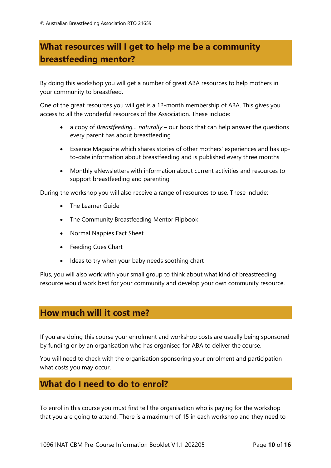# **What resources will I get to help me be a community breastfeeding mentor?**

By doing this workshop you will get a number of great ABA resources to help mothers in your community to breastfeed.

One of the great resources you will get is a 12-month membership of ABA. This gives you access to all the wonderful resources of the Association. These include:

- a copy of *Breastfeeding… naturally* our book that can help answer the questions every parent has about breastfeeding
- Essence Magazine which shares stories of other mothers' experiences and has upto-date information about breastfeeding and is published every three months
- Monthly eNewsletters with information about current activities and resources to support breastfeeding and parenting

During the workshop you will also receive a range of resources to use. These include:

- The Learner Guide
- The Community Breastfeeding Mentor Flipbook
- Normal Nappies Fact Sheet
- Feeding Cues Chart
- Ideas to try when your baby needs soothing chart

Plus, you will also work with your small group to think about what kind of breastfeeding resource would work best for your community and develop your own community resource.

## <span id="page-9-0"></span>**How much will it cost me?**

If you are doing this course your enrolment and workshop costs are usually being sponsored by funding or by an organisation who has organised for ABA to deliver the course.

You will need to check with the organisation sponsoring your enrolment and participation what costs you may occur.

## <span id="page-9-1"></span>**What do I need to do to enrol?**

To enrol in this course you must first tell the organisation who is paying for the workshop that you are going to attend. There is a maximum of 15 in each workshop and they need to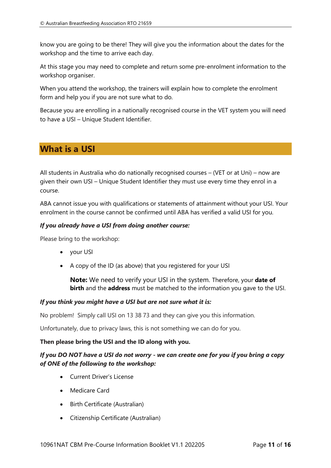know you are going to be there! They will give you the information about the dates for the workshop and the time to arrive each day.

At this stage you may need to complete and return some pre-enrolment information to the workshop organiser.

When you attend the workshop, the trainers will explain how to complete the enrolment form and help you if you are not sure what to do.

Because you are enrolling in a nationally recognised course in the VET system you will need to have a USI – Unique Student Identifier.

# <span id="page-10-0"></span>**What is a USI**

All students in Australia who do nationally recognised courses – (VET or at Uni) – now are given their own USI – Unique Student Identifier they must use every time they enrol in a course.

ABA cannot issue you with qualifications or statements of attainment without your USI. Your enrolment in the course cannot be confirmed until ABA has verified a valid USI for you.

## *If you already have a USI from doing another course:*

Please bring to the workshop:

- your USI
- A copy of the ID (as above) that you registered for your USI

**Note:** We need to verify your USI in the system. Therefore, your **date of birth** and the **address** must be matched to the information you gave to the USI.

## *If you think you might have a USI but are not sure what it is:*

No problem! Simply call USI on 13 38 73 and they can give you this information.

Unfortunately, due to privacy laws, this is not something we can do for you.

#### **Then please bring the USI and the ID along with you.**

## *If you DO NOT have a USI do not worry - we can create one for you if you bring a copy of ONE of the following to the workshop:*

- Current Driver's License
- Medicare Card
- Birth Certificate (Australian)
- Citizenship Certificate (Australian)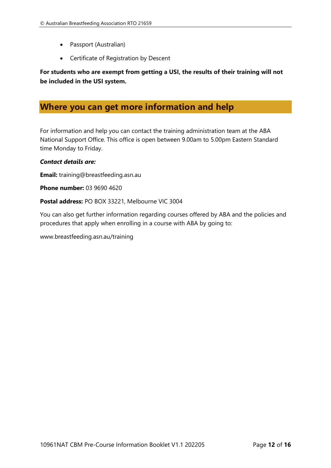- Passport (Australian)
- Certificate of Registration by Descent

**For students who are exempt from getting a USI, the results of their training will not be included in the USI system.**

## <span id="page-11-0"></span>**Where you can get more information and help**

For information and help you can contact the training administration team at the ABA National Support Office. This office is open between 9.00am to 5.00pm Eastern Standard time Monday to Friday.

#### *Contact details are:*

**Email:** training@breastfeeding.asn.au

**Phone number:** 03 9690 4620

**Postal address:** PO BOX 33221, Melbourne VIC 3004

You can also get further information regarding courses offered by ABA and the policies and procedures that apply when enrolling in a course with ABA by going to:

www.breastfeeding.asn.au/training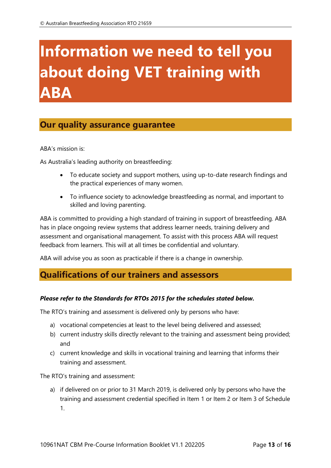# <span id="page-12-0"></span>**Information we need to tell you about doing VET training with ABA**

# <span id="page-12-1"></span>**Our quality assurance guarantee**

ABA's mission is:

As Australia's leading authority on breastfeeding:

- To educate society and support mothers, using up-to-date research findings and the practical experiences of many women.
- To influence society to acknowledge breastfeeding as normal, and important to skilled and loving parenting.

ABA is committed to providing a high standard of training in support of breastfeeding. ABA has in place ongoing review systems that address learner needs, training delivery and assessment and organisational management. To assist with this process ABA will request feedback from learners. This will at all times be confidential and voluntary.

ABA will advise you as soon as practicable if there is a change in ownership.

## <span id="page-12-2"></span>**Qualifications of our trainers and assessors**

## *Please refer to the Standards for RTOs 2015 for the schedules stated below.*

The RTO's training and assessment is delivered only by persons who have:

- a) vocational competencies at least to the level being delivered and assessed;
- b) current industry skills directly relevant to the training and assessment being provided; and
- c) current knowledge and skills in vocational training and learning that informs their training and assessment.

The RTO's training and assessment:

a) if delivered on or prior to 31 March 2019, is delivered only by persons who have the training and assessment credential specified in Item 1 or Item 2 or Item 3 of Schedule 1.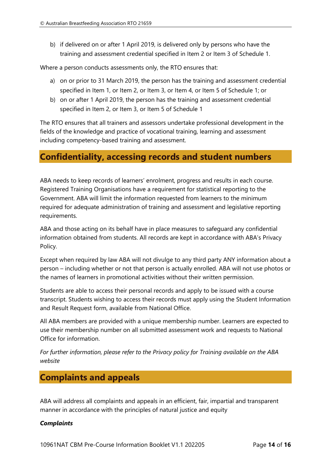b) if delivered on or after 1 April 2019, is delivered only by persons who have the training and assessment credential specified in Item 2 or Item 3 of Schedule 1.

Where a person conducts assessments only, the RTO ensures that:

- a) on or prior to 31 March 2019, the person has the training and assessment credential specified in Item 1, or Item 2, or Item 3, or Item 4, or Item 5 of Schedule 1; or
- b) on or after 1 April 2019, the person has the training and assessment credential specified in Item 2, or Item 3, or Item 5 of Schedule 1

The RTO ensures that all trainers and assessors undertake professional development in the fields of the knowledge and practice of vocational training, learning and assessment including competency-based training and assessment.

## <span id="page-13-0"></span>**Confidentiality, accessing records and student numbers**

ABA needs to keep records of learners' enrolment, progress and results in each course. Registered Training Organisations have a requirement for statistical reporting to the Government. ABA will limit the information requested from learners to the minimum required for adequate administration of training and assessment and legislative reporting requirements.

ABA and those acting on its behalf have in place measures to safeguard any confidential information obtained from students. All records are kept in accordance with ABA's Privacy Policy.

Except when required by law ABA will not divulge to any third party ANY information about a person – including whether or not that person is actually enrolled. ABA will not use photos or the names of learners in promotional activities without their written permission.

Students are able to access their personal records and apply to be issued with a course transcript. Students wishing to access their records must apply using the Student Information and Result Request form, available from National Office.

All ABA members are provided with a unique membership number. Learners are expected to use their membership number on all submitted assessment work and requests to National Office for information.

*For further information, please refer to the Privacy policy for Training available on the ABA website*

# <span id="page-13-1"></span>**Complaints and appeals**

ABA will address all complaints and appeals in an efficient, fair, impartial and transparent manner in accordance with the principles of natural justice and equity

## *Complaints*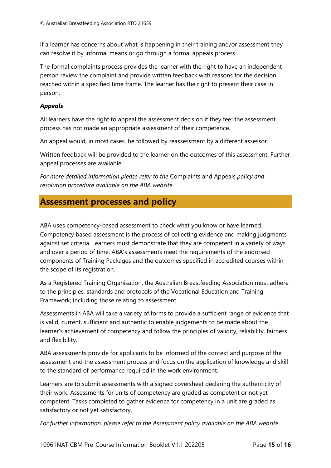If a learner has concerns about what is happening in their training and/or assessment they can resolve it by informal means or go through a formal appeals process.

The formal complaints process provides the learner with the right to have an independent person review the complaint and provide written feedback with reasons for the decision reached within a specified time frame. The learner has the right to present their case in person.

## *Appeals*

All learners have the right to appeal the assessment decision if they feel the assessment process has not made an appropriate assessment of their competence.

An appeal would, in most cases, be followed by reassessment by a different assessor.

Written feedback will be provided to the learner on the outcomes of this assessment. Further appeal processes are available.

*For more detailed information please refer to the* Complaints and Appeals *policy and resolution procedure available on the ABA website*.

## <span id="page-14-0"></span>**Assessment processes and policy**

ABA uses competency-based assessment to check what you know or have learned. Competency based assessment is the process of collecting evidence and making judgments against set criteria. Learners must demonstrate that they are competent in a variety of ways and over a period of time. ABA's assessments meet the requirements of the endorsed components of Training Packages and the outcomes specified in accredited courses within the scope of its registration.

As a Registered Training Organisation, the Australian Breastfeeding Association must adhere to the principles, standards and protocols of the Vocational Education and Training Framework, including those relating to assessment.

Assessments in ABA will take a variety of forms to provide a sufficient range of evidence that is valid, current, sufficient and authentic to enable judgements to be made about the learner's achievement of competency and follow the principles of validity, reliability, fairness and flexibility.

ABA assessments provide for applicants to be informed of the context and purpose of the assessment and the assessment process and focus on the application of knowledge and skill to the standard of performance required in the work environment.

Learners are to submit assessments with a signed coversheet declaring the authenticity of their work. Assessments for units of competency are graded as competent or not yet competent. Tasks completed to gather evidence for competency in a unit are graded as satisfactory or not yet satisfactory.

*For further information, please refer to the Assessment policy available on the ABA website*